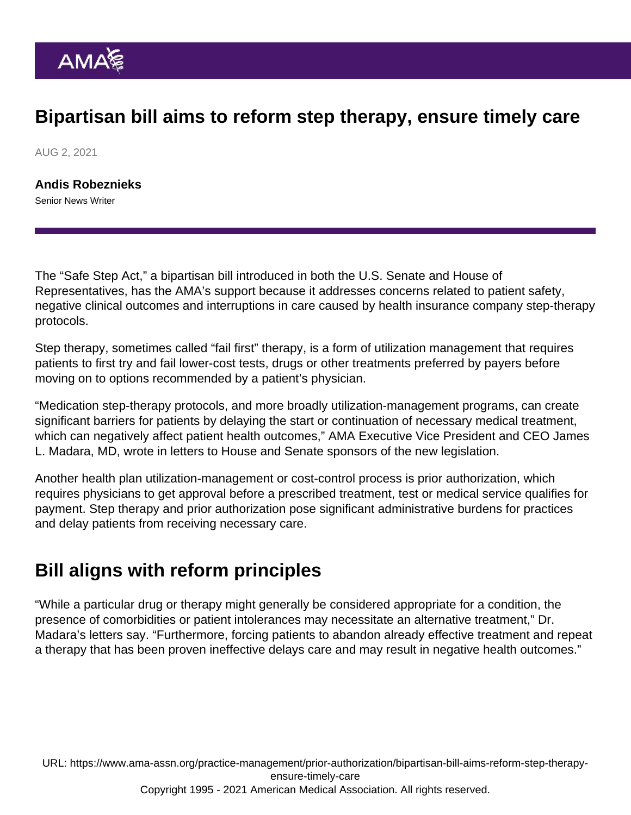## Bipartisan bill aims to reform step therapy, ensure timely care

AUG 2, 2021

[Andis Robeznieks](https://www.ama-assn.org/news-leadership-viewpoints/authors-news-leadership-viewpoints/andis-robeznieks) Senior News Writer

The "Safe Step Act," a bipartisan bill introduced in both the U.S. Senate and House of Representatives, has the AMA's support because it addresses concerns related to patient safety, negative clinical outcomes and interruptions in care caused by health insurance company step-therapy protocols.

Step therapy, sometimes called "fail first" therapy, is a form of utilization management that requires patients to first try and fail lower-cost tests, drugs or other treatments preferred by payers before moving on to options recommended by a patient's physician.

"Medication step-therapy protocols, and more broadly utilization-management programs, can create significant barriers for patients by delaying the start or continuation of necessary medical treatment, which can negatively affect patient health outcomes," AMA Executive Vice President and CEO [James](https://www.ama-assn.org/news-leadership-viewpoints/authors-news-leadership-viewpoints/james-l-madara-md) [L. Madara, MD](https://www.ama-assn.org/news-leadership-viewpoints/authors-news-leadership-viewpoints/james-l-madara-md), wrote in [letters](https://searchlf.ama-assn.org/letter/documentDownload?uri=/unstructured/binary/letter/LETTERS/2021-6-11-Letter-to-S-464-Senate-Safe-Step-Act.pdf) to House and Senate sponsors of the new legislation.

Another health plan utilization-management or cost-control process is prior authorization, which requires physicians to get approval before a prescribed treatment, test or medical service qualifies for payment. Step therapy and prior authorization pose significant administrative burdens for practices and delay patients from receiving necessary care.

## Bill aligns with reform principles

"While a particular drug or therapy might generally be considered appropriate for a condition, the presence of comorbidities or patient intolerances may necessitate an alternative treatment," Dr. Madara's letters say. "Furthermore, forcing patients to abandon already effective treatment and repeat a therapy that has been proven ineffective delays care and may result in negative health outcomes."

URL: [https://www.ama-assn.org/practice-management/prior-authorization/bipartisan-bill-aims-reform-step-therapy](https://www.ama-assn.org/practice-management/prior-authorization/bipartisan-bill-aims-reform-step-therapy-ensure-timely-care)[ensure-timely-care](https://www.ama-assn.org/practice-management/prior-authorization/bipartisan-bill-aims-reform-step-therapy-ensure-timely-care) Copyright 1995 - 2021 American Medical Association. All rights reserved.